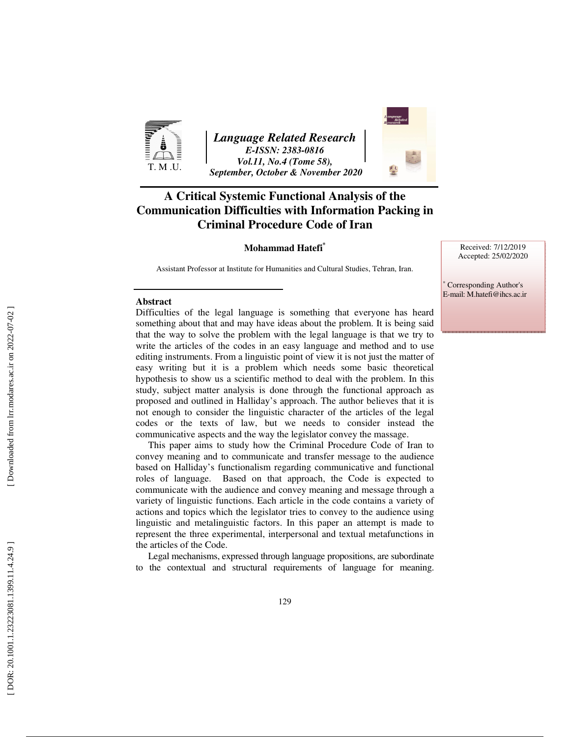

*Language Related Research E-ISSN: 2383-0816 Vol.11, No.4 (Tome 58), September, October & November 2020* 

# **A Critical Systemic Functional Analysis of the Communication Difficulties with Information Packing in Criminal Procedure Code of Iran**

## **Mohammad Hatefi \***

Assistant Professor at Institute for Humanities and Cultural Studies, Tehran, Iran.

Received: 7/12/2019 Accepted: 25/02/2020

∗ Corresponding Author's E-mail: M.hatefi@ihcs.ac.ir

#### **Abstract**

Difficulties of the legal language is something that everyone has heard something about that and may have ideas about the problem. It is being said that the way to solve the problem with the legal language is that we try to write the articles of the codes in an easy language and method and to use editing instruments. From a linguistic point of view it is not just the matter of easy writing but it is a problem which needs some basic theoretical hypothesis to show us a scientific method to deal with the problem. In this study, subject matter analysis is done through the functional approach as proposed and outlined in Halliday's approach. The author believes that it is not enough to consider the linguistic character of the articles of the legal codes or the texts of law, but we needs to consider instead the communicative aspects and the way the legislator convey the massage.

This paper aims to study how the Criminal Procedure Code of Iran to convey meaning and to communicate and transfer message to the audience based on Halliday's functionalism regarding communicative and functional roles of language. Based on that approach, the Code is expected to communicate with the audience and convey meaning and message through a variety of linguistic functions. Each article in the code contains a variety of actions and topics which the legislator tries to convey to the audience using linguistic and metalinguistic factors. In this paper an attempt is made to represent the three experimental, interpersonal and textual metafunctions in the articles of the Code.

Legal mechanisms, expressed through language propositions, are subordinate to the contextual and structural requirements of language for meaning.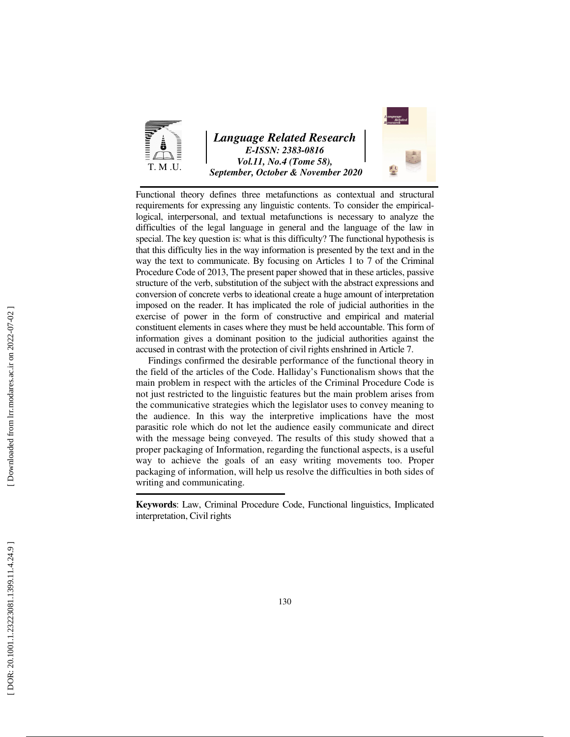

## *Language Related Research E-ISSN: 2383-0816 Vol.11, No.4 (Tome 58), September, October & November 2020*



Functional theory defines three metafunctions as contextual and structural requirements for expressing any linguistic contents. To consider the empiricallogical, interpersonal, and textual metafunctions is necessary to analyze the difficulties of the legal language in general and the language of the law in special. The key question is: what is this difficulty? The functional hypothesis is that this difficulty lies in the way information is presented by the text and in the way the text to communicate. By focusing on Articles 1 to 7 of the Criminal Procedure Code of 2013, The present paper showed that in these articles, passive structure of the verb, substitution of the subject with the abstract expressions and conversion of concrete verbs to ideational create a huge amount of interpretation imposed on the reader. It has implicated the role of judicial authorities in the exercise of power in the form of constructive and empirical and material constituent elements in cases where they must be held accountable. This form of information gives a dominant position to the judicial authorities against the accused in contrast with the protection of civil rights enshrined in Article 7.

Findings confirmed the desirable performance of the functional theory in the field of the articles of the Code. Halliday's Functionalism shows that the main problem in respect with the articles of the Criminal Procedure Code is not just restricted to the linguistic features but the main problem arises from the communicative strategies which the legislator uses to convey meaning to the audience. In this way the interpretive implications have the most parasitic role which do not let the audience easily communicate and direct with the message being conveyed. The results of this study showed that a proper packaging of Information, regarding the functional aspects, is a useful way to achieve the goals of an easy writing movements too. Proper packaging of information, will help us resolve the difficulties in both sides of writing and communicating.

**Keywords**: Law, Criminal Procedure Code, Functional linguistics, Implicated interpretation, Civil rights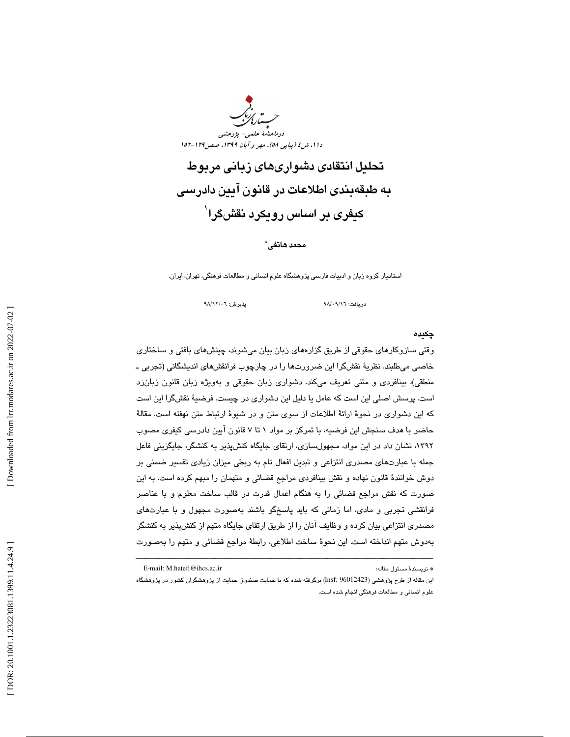

تحليل انتقادي دشواريهاي زباني مربوط به طبقهبندي اطلاعات در قانون آيين دادرسي کیفر*ی* بر اساس رویکرد نقشگرا<sup>\</sup>

## محمد هاتفي \*

استاديار گروه زبان و ادبيات فارسي پژوهشگاه علوم انساني و مطالعات فرهنگي، تهران، ايران.

دريافت: 16/ 09/ 98 پذيرش: 06/ 12/ 98

#### چكيده

وقتي سازوكارهاي حقوقي از طريق گزارههاي زبان بيان ميشوند، چينشهاي بافتي و ساختاري خاصي ميطلبند. نظرية نقشگرا اين ضرورتها را در چارچوب فرانقشهاي انديشگاني (تجربي ـ منطقي)، بينافردي و متني تعريف ميكند. دشواري زبان حقوقي و بهويژه زبان قانون زبانزد است. پرسش اصلي اين است كه عامل يا دليل اين دشواري در چيست. فرضية نقشگرا اين است كه اين دشواري در نحوة ارائة اطلاعات از سوي متن و در شيوة ارتباط متن نهفته است. مقالة حاضر با هدف سنجش اين فرضيه، با تمركز بر مواد 1 7تا قانون آيين دادرسي كيفري مصوب ،1392 نشان داد در اين مواد، مجهولسازي، ارتقاي جايگاه كنشپذير به كنشگر، جايگزيني فاعل جمله با عبارتهاي مصدري انتزاعي و تبديل افعال تام به ربطي ميزان زيادي تفسير ضمني بر دوش خوانندة قانون نهاده و نقش بينافردي مراجع قضائي و متهمان را مبهم كرده است. به اين صورت كه نقش مراجع قضائي را به هنگام اعمال قدرت در قالب ساخت معلوم و با عناصر فرانقشي تجربي و مادي، اما زماني كه بايد پاسخگو باشند بهصورت مجهول و با عبارتهاي مصدري انتزاعي بيان كرده و وظايف آنان را از طريق ارتقاي جايگاه متهم از كنشپذير به كنشگر بهدوش متهم انداخته است. اين نحوة ساخت اطلاعي، رابطة مراجع قضائي و متهم را بهصورت

ــــــــــــــــــــــــــــــــــــــــــــــــــــــــــــــــــــــــــــــــــــــــــــــــــــــــــــــــــــــــــــــــــــــــــ

E-mail: M.hatefi@ihcs.ac.ir :مقاله مسئول نويسندة\*

اين مقاله از طرح پژوهشي (96012423 :Insf (برگرفته شده كه با حمايت صندوق حمايت از پژوهشگران كشور در پژوهشگاه علوم انساني و مطالعات فرهنگي انجام شده است.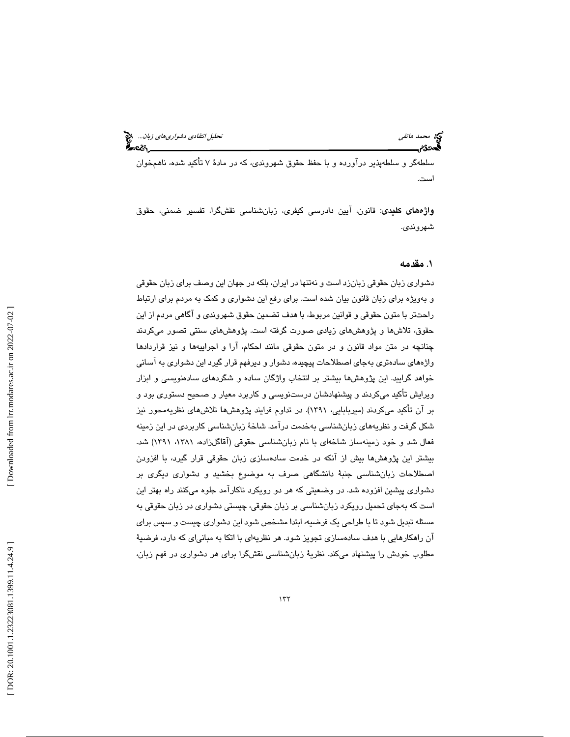سلطهگر و سلطهپذير درآورده و با حفظ حقوق شهروندي، كه در مادة 7 تأكيد شده، ناهمخوان است.

واژههاي كليدي: قانون، آيين دادرسي كيفري، زبانشناسي نقشگرا، تفسير ضمني، حقوق شهروندي.

## . مقدمه 1

دشواري زبان حقوقي زبانزد است و نهتنها در ايران، بلكه در جهان اين وصف براي زبان حقوقي و بهويژه براي زبان قانون بيان شده است. براي رفع اين دشواري و كمك به مردم براي ارتباط راحتتر با متون حقوقي و قوانين مربوط، با هدف تضمين حقوق شهروندي و آگاهي مردم از اين حقوق، تلاشها و پژوهشهاي زيادي صورت گرفته است. پژوهشهاي سنتي تصور ميكردند چنانچه در متن مواد قانون و در متون حقوقي مانند احكام، آرا و اجراييهها و نيز قراردادها واژههاي سادهتري بهجاي اصطلاحات پيچيده، دشوار و ديرفهم قرار گيرد اين دشواري به آساني خواهد گراييد. اين پژوهشها بيشتر بر انتخاب واژگان ساده و شگردهاي سادهنويسي و ابزار ويرايش تأكيد ميكردند و پيشنهادشان درستنويسي و كاربرد معيار و صحيح دستوري بود و بر آن تأكيد ميكردند (ميربابايي، 1391). در تداوم فرايند پژوهشها تلاشهاي نظريهمحور نيز شكل گرفت و نظريههاي زبانشناسي بهخدمت درآمد. شاخة زبانشناسي كاربردي در اين زمينه فعال شد و خود زمينهساز شاخهاي با نام زبانشناسي حقوقي (آقاگلزاده، ،1381 1391) شد. بيشتر اين پژوهشها بيش از آنكه در خدمت سادهسازي زبان حقوقي قرار گيرد، با افزودن اصطلاحات زبانشناسي جنبة دانشگاهي صرف به موضوع بخشيد و دشواري ديگري بر دشواري پيشين افزوده شد. در وضعيتي كه هر دو رويكرد ناكارآمد جلوه ميكنند راه بهتر اين است كه بهجاي تحميل رويكرد زبانشناسي بر زبان حقوقي، چيستي دشواري در زبان حقوقي به مسئله تبديل شود تا با طراحي يك فرضيه، ابتدا مشخص شود اين دشواري چيست و سپس براي آن راهكارهايي با هدف سادهسازي تجويز شود. هر نظريهاي با اتكا به مبانياي كه دارد، فرضية مطلوب خودش را پيشنهاد ميكند. نظرية زبانشناسي نقشگرا براي هر دشواري در فهم زبان،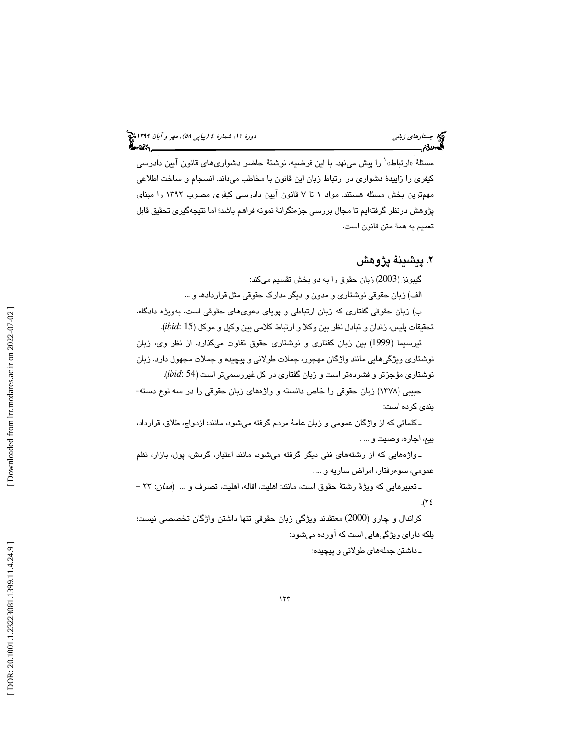مسئلة «ارتباط»٬ را پیش مینهد. با این فرضیه، نوشتهٔ حاضر دشواریهای قانون آیین دادرسی كيفري را زاييدة دشواري در ارتباط زبان اين قانون با مخاطب ميداند. انسجام و ساخت اطلاعي مهمترين بخش مسئله هستند. مواد 1 تا 7 قانون آيين دادرسي كيفري مصوب 1392 را مبناي پژوهش درنظر گرفتهايم تا مجال بررسي جزءنگرانة نمونه فراهم باشد؛ اما نتيجهگيري تحقيق قابل تعميم به همة متن قانون است.

## . پيشينة پژوهش 2

گيبونز (2003) زبان حقوق را به دو بخش تقسيم مىكند:

الف) زبان حقوقي نوشتاري و مدون و ديگر مدارك حقوقي مثل قراردادها و ...

ب) زبان حقوقي گفتاري كه زبان ارتباطي و پوياي دعويهاي حقوقي است، بهويژه دادگاه، تحقيقات پليس، زندان و تبادل نظر بين وكلا و ارتباط كلامي بين وكيل و موكل (*ibid*: 15).

تيرسيما (1999) بين زبان گفتاري و نوشتاري حقوق تفاوت ميگذارد. از نظر وي، زبان نوشتاري ويژگيهايي مانند واژگان مهجور، جملات طولاني و پيچيده و جملات مجهول دارد. زبان .( *ibid*: 54 نوشتاري مؤجزتر و فشردهتر است و زبان گفتاري در كل غيررسميتر است (

حبيبي (١٣٧٨) زبان حقوقي را خاص دانسته و واژههاي زبان حقوقي را در سه نوع دسته-بندي كرده است:

ـ كلماتي كه از واژگان عمومي و زبان عامهٔ مردم گرفته ميشود، مانند: ازدواج، طلاق، قرارداد، بيع، اجاره، وصيت و ... .

ـ واژههايي كه از رشتههاي فني ديگر گرفته ميشود، مانند اعتبار، گردش، پول، بازار، نظم عمومي، سوءرفتار، امراض ساريه و … .

ـ تعبير هايي كه ويژهٔ رشتهٔ حقوق است، مانند: اهليت، اقاله، اهليت، تصرف و ... (*همان*: ٢٣ - $\mathcal{N}$ ٤.

كراندال و چارو (2000) معتقدند ويژگي زبان حقوقي تنها داشتن واژگان تخصصي نيست؛ بلکه دارای ویژگیهایی است که آورده میشود:

ـ داشتن جملههای طولانی و پیچیده؛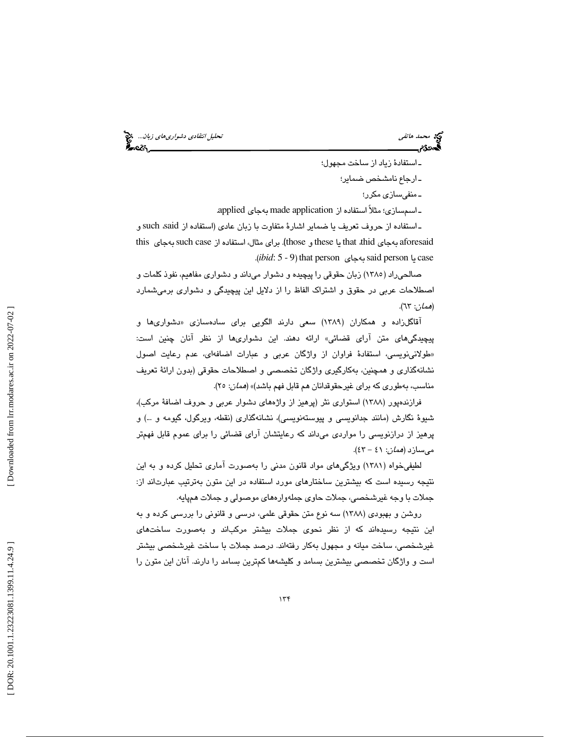محمد هاتفي تحليل *انتقادي دشواري هاي زبان*.... المحجمة هاتفي تحليل انتقادي د*شواري هاي زبان*.... المحجمة<br>**الجمهوريم بالتحليل التحليل التحليل التحليل التحليل التحليل التحليل التحليل التحليل التحليل التحليل التحليل الت** 

ـ استفادهٔ زياد از ساخت مجهول؛ ـ ارجاع نامشخص ضماير؛ ـ منفى ساز*ى* مكرر؛

ـ اسمسازي؛ مثلاً استفاده از application made به يجا applied .

ـ استفاده از حروف تعريف يا ضماير اشارهٔ متفاوت با زبان عادي (استفاده از such said و aforesaid بهجاى that ،thid يا these و those). براى مثال، استفاده از such case بهجاى sthis case يا said person بهجاي said person (*. ibid*: 5 - 9).

صالحي٫داد (١٣٨٥) زبان حقوقي را پيچيده و دشوار مي،اند و دشواري مفاهيم، نفوذ كلمات و اصطلاحات عربي در حقوق و اشتراک الفاظ را از دلايل اين پيچيدگي و دشواري برميشمارد (همان: ٦٣).

آقاگلزاده و همكاران (۱۳۸۹) سعى دارند الگويى براى سادهسازى «دشوارىها و پيچيدگيهاي متن آراي قضائي» ارائه دهند. اين دشواريها از نظر آنان چنين است: طولانينويسي، استفادة فراوان از واژگان عربي و عبارات اضافهاي، عدم رعايت اصول » نشانهگذاري و همچنين، بهكارگيري واژگان تخصصي و اصطلاحات حقوقي (بدون ارائة تعريف مناسب، بهطوري كه براي غيرحقوقدانان هم قابل فهم باشد)» (*همان*: ٢٥).

فرازندهپور (۱۳۸۸) استواری نثر (پرهیز از واژههای دشوار عربی و حروف اضافهٔ مركب)، شيوهٔ نگارش (مانند جدانويسى و پيوستەنويسى)، نشانەگذارى (نقطه، ويرگول، گيومه و …) و پرهیز از درازنویسی را مواردی میداند که رعایتشان آرای قضائی را برای عموم قابل فهمتر ميسازد (*همان: ٤*١ - ٤٣).

لطيفيخواه ( 1381) ويژگيهاي مواد قانون مدني را بهصورت آماري تحليل كرده و به اين نتيجه رسيده است كه بيشترين ساختارهاي مورد استفاده در اين متون بهترتيب عبارتاند از: جملات با وجه غيرشخصي، جملات حاوي جمله وارههاي موصولي و جملات همپايه.

روشن و بهبودي (۱۳۸۸) سه نوع متن حقوقي علمي، درسي و قانوني را بررسي كرده و به اين نتيجه رسيدهاند كه از نظر نحوى جملات بيشتر مركباند و به صورت ساختهاى غيرشخصي، ساخت ميانه و مجهول به كار رفتهاند. درصد جملات با ساخت غيرشخصي بيشتر است و واژگان تخصصي بيشتر ين بسامد و كليشهها كمترين بسامد را دارند. آنان اين متون را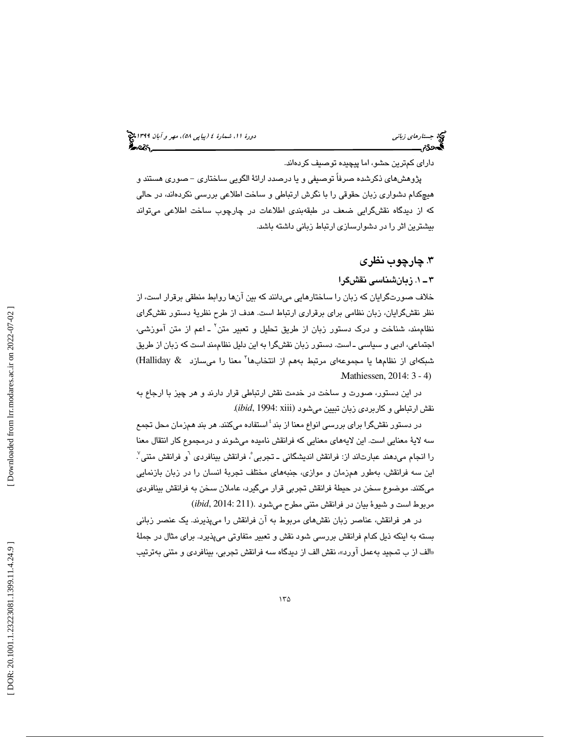(پياپي 58)، مهر و آبان 1399 جستارهاي زباني دورة ،11 شمارة 4

داراي كمترين حشو، اما پيچيده توصيف كردهاند.

پژوهشهاي ذكرشده صرفاً توصيفي و يا درصدد ارائة الگويي ساختاري - صوري هستند و هیچکدام دشواری زبان حقوقی را با نگرش ارتباطی و ساخت اطلاعی بررسی نکردهاند، در حالی كه از ديدگاه نقشگرايي ضعف در طبقهبندي اطلاعات در چارچوب ساخت اطلاعي ميتواند بيشترين اثر را در دشوارسازي ارتباط زباني داشته باشد.

## .3 چارچوب نظري

1ـ 3 . زبانشناسي نقشگرا

خلاف صورتگرايان كه زبان را ساختارهايي ميدانند كه بين آنها روابط منطقي برقرار است، از نظر نقش گرايان، زبان نظامي براي برقراري ارتباط است. هدف از طرح نظرية دستور نقشگراي نظاممند، شناخت و درک دستور زبان از طریق تحلیل و تعبیر متن<sup>۲</sup> ـ اعم از متن آموزش*ی*، اجتماعی، ادبی و سیاسی ــ است. دستور زبان نقشگرا به این دلیل نظاممند است كه زبان از طریق شبكهاى از نظامها يا مجموعهاى مرتبط بههم از انتخابها<sup>٬</sup> معنا را م<sub>ى</sub>سازد & Halliday) . Mathiessen, 2014: 3 - 4)

در اين دستور، صورت و ساخت در خدمت نقش ارتباطي قرار دارند و هر چيز با ارجاع به نقش ارتباطی و كاربردی زبان تبيين میشود (*ibid*, 1994: xiii).

در دستور نقشگرا برای بررسی انواع معنا از بند<sup>؛</sup> استفاده میکنند. هر بند همزمان محل تج*م*ع سه لايهٔ معنايي است. اين لايههاي معنايي كه فرانقش ناميده ميشوند و درمجموع كار انتقال معنا<br>را انجام ميدهند عبارتاند از: فرانقش انديشگاني ــ تجربي ْ، فرانقش بينافردي <sup>٦</sup>و فرانقش متني ْ اين سه فرانقش، بهطور همزمان و موازى، جنبههاى مختلف تجربة انسان را در زبان بازنمايي ميكنند. موضوع سخن در حيطهٔ فرانقش تجربي قرار ميگيرد، عاملان سخن به فرانقش بينافردي مربوط است و شيوة بيان در فرانقش متنى مطرح مي شود .(ibid, 2014: 211

در هر فرانقش، عناصر زبان نقشهای مربوط به آن فرانقش را میپذیرند. یک عنصر زبانی بسته به اینکه ذیل کدام فرانقش بررسی شود نقش و تعبیر متفاوتی میپذیرد. برای مثال در جملهٔ «الف از ب تمجید به عمل آورد»، نقش الف از دیدگاه سه فرانقش تجربی، بینافردی و متنی بهترتیب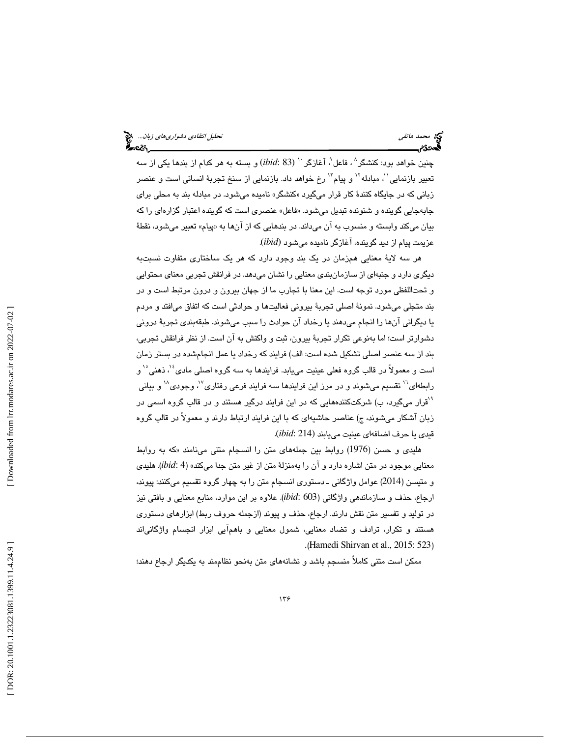چنین خواهد بود: کنشگر<sup>^</sup> ، فاعل ْ، آغازگر <sup>۱۰</sup> (ibid: 83) و بسته به هر کدام از بندها یکی از سه تعبير بازنمايي'<sup>י</sup>، مبادله'`` و پيام'`` رخ خواهد داد. بازنمايي از سنخ تجربهٔ انساني است و عنصر زبانی که در جایگاه کنندهٔ کار قرار میگیرد «کنشگر» نامیده میشود. در مبادله بند به محلی برای جابهجايي گوينده و شنونده تبديل ميشود. « فاعل » عنصر ي است كه يگو نده اعتبار گزارهاي را كه بيان ميكند وابسته و منسوب به آن ميداند. در بندهايي كه از آنها به «پيام» تعبير ميشود، نقطهٔ عزيمت پيام از ديد گوينده، آغازگر ناميده ميشود *(ibid*).

هر سه لايهٔ معنايي همزمان در يک بند وجود دارد که هر يک ساختاري متفاوت نسبتبه ديگری دارد و جنبهای از سازمانبندی معنایی را نشان میدهد. در فرانقش تجربی معنای محتوایی و تحتاللفظي مورد توجه است. اين معنا با تجارب ما از جهان بيرون و درون مرتبط است و در بند متجلي مي شود. نمونهٔ اصلي تجربهٔ بيروني فعاليتها و حوادثي است كه اتفاق ميافتد و مردم يا ديگراني آنها را انجام ميدهند يا رخداد آن حوادث را سبب ميشوند. طبقهبندي تجربهٔ دروني دشوارتر است؛ اما بهنوعي تكرار تجربهٔ بيرون، ثبت و واكنش به آن است. از نظر فرانقش تجربي، بند از سه عنصر اصلی تشکیل شده است: الف) فرایند که رخداد یا عمل انجامشده در بستر زمان<br>است و معمولاً در قالب گروه فعلی عینیت میبابد. فرایندها به سه گروه اصلی مادی ٔ '، ذهنی ْ ' و رابطهای<sup>۱٬</sup> تقسیم میشوند و در مرز این فرایندها سه فرایند فرعی رفتاری<sup>٬٬</sup> وجودی<sup>٬٬</sup> و بیانی <sup>۹</sup>قرار میگیرد، ب) شرکتکنندههایی که در این فرایند درگیر هستند و در قالب گروه اسمی در زبان آشكار ميشوند، ج) عناصر حاشيهاي كه با اين فرايند ارتباط دارند و معمولاً در قالب گروه قي*دي* يا حرف اضافها*ي* عينيت ميLبند (214 *:ibid*).

هليدي و حسن (1976) روابط بين جملههاي متن را انسجام متني مينامند « به كه روابط معنايي موجود در متن اشاره دارد و آن را بهمنزلة متن از غير متن جدا مي كند» (*ibid*: 4). هليدي و متيسن (2014) عوامل واژگانی ـ دستوری انسجام متن را به چهار گروه تقسيم ميکنند: پيوند، ارجاع، حذف و سـازماندهـي واژگانـي (ibid: 603). علاوه بر اين موارد، منابع معنايي و بافتـي نيز در توليد و تفسير متن نقش دارند. ارجاع، حذف و پيوند از( جمله حروف ربط) ابزارهاي دستوري هستند و تكرار، ترادف و تضاد معنايي، شمول معنايي و باهمآيي ابزار انجسام واژگاني اند . (Hamedi Shirvan et al., 2015: 523 )

ممکن است متنی کاملاً منسجم باشد و نشانههای متن بهنحو نظاممند به یکدیگر ارجاع دهند؛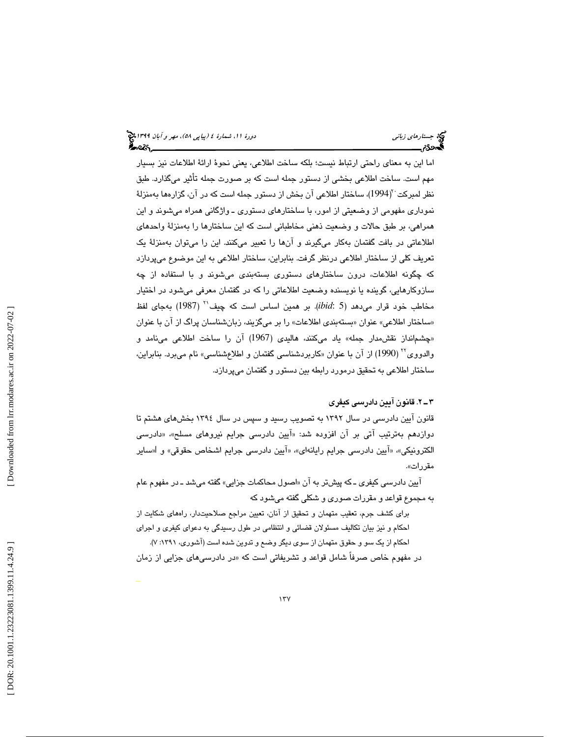اما اين به معناي راحتي ارتباط نيست؛ بلكه ساخت اطلاعي، يعني نحوة ارائة اطلاعات نيز بسيار مهم است. ساخت اطلاعی بخشی از دستور جمله است که بر صورت جمله تأثیر میگذارد. طبق نظر لمبركت ``(1994)، ساختار اطلاعی آن بخش از دستور جمله است كه در آن، گزارهها بهمنزلهٔ نموداري مفهومي از وضعيتي از امور، با ساختارهاي دستوري ـ واژگاني همراه ميشوند و اين همراهي، بر طبق حالات و وضعيت ذهني مخاطباني است كه اين ساختارها را بهمنزلة واحدهاي اطلاعاتی در بافت گفتمان بهكار میگیرند و آنها را تعبیر میكنند. این را میتوان بهمنزلهٔ یک تعريف كلي از ساختار اطلاعي درنظر گرفت. بنابراين، ساختار اطلاعي به اين موضوع ميپردازد كه چگونه اطلاعات، درون ساختارهای دستوری بستهبندی میشوند و با استفاده از چه سازوکارهایی، گوینده یا نویسنده وضعیت اطلاعاتی را که در گفتمان معرفی میشود در اختیار<br>مخاطب خود قرار می**ر**هد (*ibid*: 5). بر همین اساس است که چیف<sup>۲</sup> (1987) بهجای لفظ «ساختار اطلاعي» عنوان «بستهبندي اطلاعات» را بر ميگزيند، زبانشناسان پراگ از آن با عنوان «چشمانداز نقش مدار جمله» ياد مىكنند، هاليدى (1967) آن را ساخت اطلاعى مىنامد و والدووی<sup>۲۲</sup> (1990) از آن با عنوان «کاربردشناسی گفتمان و اطلاعشناسی» نام میبرد. بنابراین، ساختار اطلاعی به تحقیق درمورد رابطه بین دستور و گفتمان میپردازد.

## 2ـ 3 . قانون آيين دادرسي كيفري

قانون آيين دادرسي در سال 1392 به تصويب رسيد و سپس در سال 1394 بخش يها هشتم تا دوازدهم بهترتیب آتی بر آن افزوده شد: «آیین دادرسی جرایم نیروهای مسلح»، «دادرسی الكترونيكي»، «آيين دادرسي جرايم رايانهاي»، «آيين دادرسي جرايم اشخاص حقوقي» و ا«ساير مقررات .»

آيين دادرسي كيفري ــ كه پيشتر به آن «اصول محاكمات جزايي» گفته ميشد ــ در مفهوم عام به مجموع قواعد و مقررات صوري و شكلي گفته ميشود كه

براي كشف جرم، تعقيب متهمان و تحقيق از آنان، تعيين مراجع صلاحيتدار، راههاي شكايت از احكام و نيز بيان تكاليف مسئولان قضائي و انتظامي در طول رسيدگي به دعواي كيفري و اجراي احكام از يك سو و حقوق متهمان از سوي ديگر وضع و تدوين شده است (آشوري، 1391 ):7.

در مفهوم خاص صرفاً شامل قواعد و تشريفاتي است كه «در دادرسي@اي جزايي از زمان

 $177$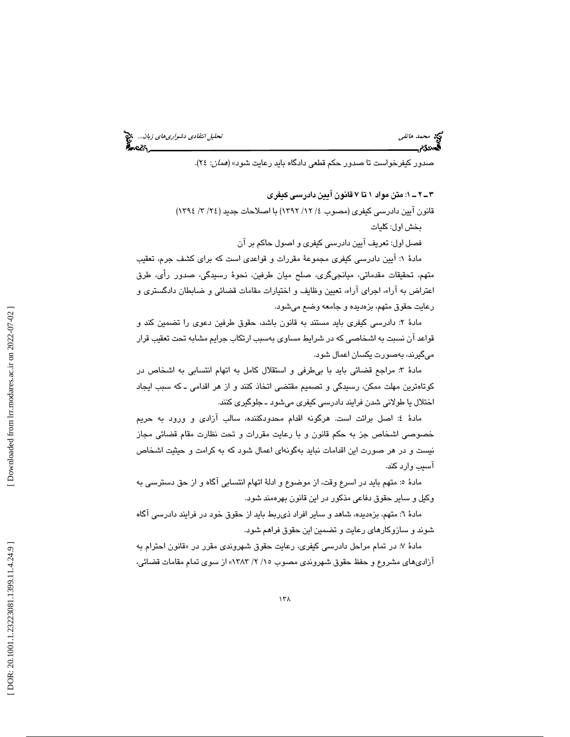محمد هاتفي تحليل *انتقادي دشواري هاي زبان*... المحجج<br>التحديد التي تحتلي<br>**التحددة محمد التحديد التحديد التحديد التحديد التحديد التحديد التحديد التحديد التحديد التحديد** 

صدور كيفرخواست تا صدور حكم قطعي دادگاه بايد رعايت شود» (*همان*: ٢٤).

1ـ 2ـ 3 : متن مواد 1 7تا قانون آيين دادرسي كيفري

قانون آيين دادرسي كيفري (مصوب ٤/ ١٢/ ١٣٩٢) با اصلاحات جديد ( ٢٤/ ٣/ ١٣٩٤) بخش اول: كليات

فصل اول: تعريف آيين دادرسي كيفري و اصول حاكم بر آن

مادة 1: آيين دادرسي كيفري مجموعة مقررات و قواعدي است كه براي كشف جرم، تعقيب متهم، تحقيقات مقدماتي، ميانجيگري، صلح ميان طرفين، نحوة رسيدگي، صدور رأي، طرق اعتراض به آراء، اجراي آراء، تعيين وظايف و اختيارات مقامات قضائي و ضابطان دادگستري و رعايت حقوق متهم، بزهديده و جامعه وضع ميشود .

مادهٔ ۲: دادرسی کیفری باید مستند به قانون باشد، حقوق طرفین دعوی را تضمین کند و قواعد آن نسبت به اشخاصي كه در شرايط مساوي بهسبب ارتكاب جرايم مشابه تحت تعقيب قرار ميگيرند، به صورت يكسان اعمال شود .

مادة 3: مراجع قضائي بايد با بيطرفي و استقلال كامل به اتهام انتسابي به اشخاص در كوتاهترين مهلت ممكن، رسيدگي و تصميم مقتضى اتخاذ كنند و از هر اقدامي ـ كه سبب ايجاد اختلال يا طولاني شدن فرايند دادرسي كيفري ميشود ـ جلوگيري كنند .

مادة 4: اصل برائت است. هرگونه اقدام محدودكننده، سالب آزادي و ورود به حريم خصوصي اشخاص به جز حكم قانون با و رعايت مقررات و تحت نظارت مقام قضائي مجاز نيست و در هر صورت اين اقدامات نبايد به گونه اي اعمال شود به كه كرامت و حيثيت اشخاص آسيب وارد كند.

مادهٔ ٥: متهم بايد در اسرع وقت، از موضوع و ادلهٔ اتهام انتسابي آگاه و از حق دسترسي به وكيل و ساير حقوق دفاعي مذكور در اين قانون بهره مند شود .

مادة 6: متهم، بزهديده، شاهد و ساير افراد ذيربط بايد از حقوق خود در فرايند دادرسي آگاه شوند و سازوكارهاي رعايت و تضمين اين حقوق فراهم شود .

مادهٔ ۷: در تمام مراحل دادرسی کیفری، رعایت حقوق شهروندی مقرر در «قانون احترام به آزاديهاي مشروع و حفظ حقوق شهروندي مصوب 2/ 15/ 1383 از» سوي تمام مقامات قضائي،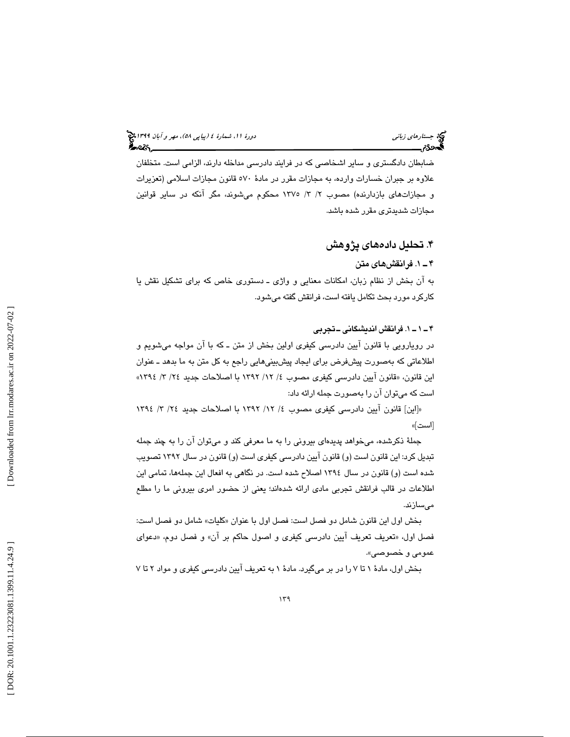ضابطان دادگستري و ساير اشخاصي كه در فرايند دادرسي مداخله دارند، الزامي است. متخلفان علاوه بر جبران خسارات وارده، به مجازات مقرر در مادهٔ ٥٧٠ قانون مجازات اسلامي (تعزيرات و مجازاتهاي بازدارنده) مصوب 3/ 2/ 1375 محكوم ميشوند، مگر آنكه در ساير قوانين مجازات شديدتري مقرر شده باشد .

## ۴. تحليل دادههای پژوهش

## 1ـ 4 . فرانقشهاي متن

به آن بخش از نظام زبان، امكانات معنايي و واژي ــ دستوري خاص كه براي تشكيل نقش يا كاركرد مورد بحث تكامل يافته است، فرانقش گفته مي شود.

## 1ـ 1ـ 4 . فرانقش انديشگاني ـتجربي

در رويارويي با قانون آيين دادرسي كيفري اولين بخش از متن ـ كه با آن مواجه ميشويم و اطلاعاتي كه بهصورت پيشفرض براي ايجاد پيشبينيهايي راجع به كل متن به ما بدهد ـ عنوان اين قانون، «قانون آيين دادرسي كيفري مصوب ٤/ ١٢/ ١٣٩٢ با اصلاحات جديد ٢٤/ ٣/ ١٣٩٤» است كه ميتوان آن را بهصورت جمله ارائه داد:

«[اين] قانون آيين دادرسي كيفري مصوب ٤/ ١٢/ ١٣٩٢ با اصلاحات جديد ٢٤/ ٣/ ١٣٩٤ [است] »

جملة ذكرشده، ميخواهد پديدهاي بيروني را به ما معرفي كند و ميتوان آن را به چند جمله تبديل كرد: اين قانون است (و) قانون آيين دادرسي كيفري است (و) قانون در سال 1392 تصويب شده است (و) قانون در سال 1394 اصلاح شده است. در نگاهي به افعال اين جملهها، تمامي اين اطلاعات در قالب فرانقش تجربي مادي ارائه شدهاند؛ يعني از حضور امري بيروني ما را مطلع ميسازند.

بخش اول اين قانون شامل دو فصل است: فصل اول با عنوان «كليات» شامل دو فصل است: فصل اول، «تعريف تعريف آيين دادرسي كيفري و اصول حاكم بر آن» و فصل دوم، «دعواي عمومي و خصوصي ».

بخش اول، مادة 1 را 7تا در بر ميگيرد. مادة 1 به تعريف آيين دادرسي كيفري و مواد 7تا 2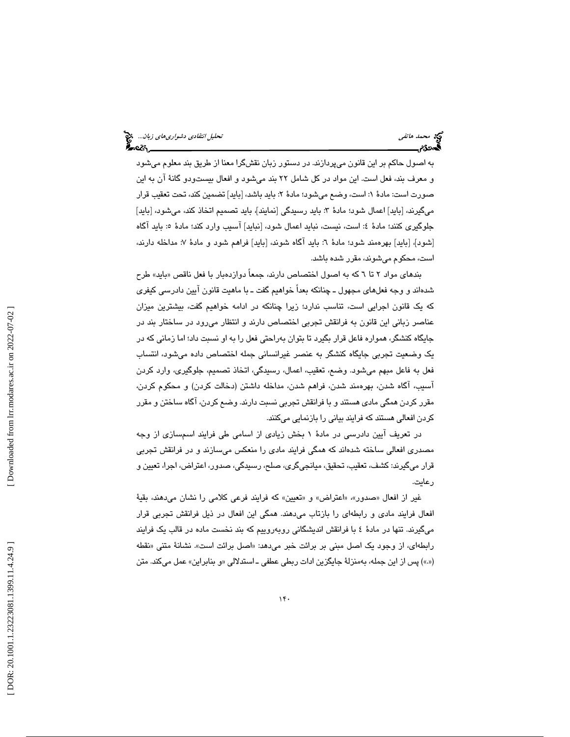به اصول حاكم بر اين قانون ميپردازند. در دستور زبان نقشگرا معنا از طريق بند معلوم ميشود و معرف بند، فعل است. اين مواد در كل شامل ٢٢ بند ميشود و افعال بيستودو گانهٔ آن به اين صورت است: مادهٔ ۱: است، وضـع مىشود؛ مادهٔ ۲: بايد باشد، [بايد] تضمين كند، تحت تعقيب قرار ميگيرند، [بايد] اعمال شود؛ مادهٔ ٣: بايد رسيدگي [نمايند]، بايد تصميم اتخاذ كند، ميشود، [بايد] جلوگيري كنند؛ مادهٔ ٤: است، نيست، نبايد اعمال شود، [نبايد] آسيب وارد كند؛ مادهٔ ٥: بايد آگاه [شود]، [بايد] بهرهمند شود؛ مادهٔ ٦: بايد آگاه شوند، [بايد] فراهم شود و مادهٔ ٧: مداخله دارند، است، محکوم میشوند، مقرر شده باشد.

بندهاي مواد ٢ تا ٦ كه به اصول اختصاص دارند، جمعاً دوازدهبار با فعل ناقص «بايد» طرح شدهاند و وجه فعلهاي مجهول ـ چنانكه بعداً خواهيم گفت ـ با ماهيت قانون آيين دادرسي كيفري كه يك قانون اجرايي است، تناسب ندارد؛ زيرا چنانكه در ادامه خواهيم گفت، بيشترين ميزان عناصر زباني اين قانون به فرانقش تجربي اختصاص دارند و انتظار ميرود در ساختار بند در جايگاه كنشگر، همواره فاعل قرار بگيرد تا بتوان بهراحتي فعل را به او نسبت داد؛ اما زماني كه در يك وضعيت تجربي جايگاه كنشگر به عنصر غيرانساني جمله اختصاص داده ميشود، انتساب فعل به فاعل مبهم ميشود. وضع، تعقيب، اعمال، رسيدگي، اتخاذ تصميم، جلوگيري، وارد كردن آسيب، آگاه شدن، بهرهمند شدن، فراهم شدن، مداخله داشتن (دخالت كردن) و محكوم كردن، مقرر كردن همگي مادي هستند و با فرانقش تجربي نسبت دارند. وضع كردن، آگاه ساختن و مقرر كردن افعالي هستند كه فرايند بياني را بازنمايي ميكنند.

در تعريف آيين دادرسي در مادة 1 بخش زيادي از اسامي طي فرايند اسمسازي از وجه مصدري افعالي ساخته شدهاند كه همگي فرايند مادي را منعكس ميسازند و در فرانقش تجربي قرار ميگيرند: كشف، تعقيب، تحقيق، ميانجيگري، صلح، رسىيدگي، صدور، اعتراض، اجرا، تعيين و رعايت.

غير از افعال «صدور»، «اعتراض» و «تعيين» كه فرايند فرعي كلامي را نشان ميدهند، بقيهٔ افعال فرايند مادي و رابطهاي را بازتاب ميدهند. همگي اين افعال در ذيل فرانقش تجربي قرار ميگيرند. تنها در مادة 4 با فرانقش انديشگاني روبهروييم كه بند نخست ماده در قالب يك فرايند رابطهاي، از وجود يک اصل مبني بر برائت خبر ميدهد: «اصل برائت است». نشانهٔ متني «نقطه («.») پس از اين جمله، بهمنزلهٔ جايگزين ادات ربطي عطفي ـ استدلالي «و بنابراين» عمل ميكند. متن

 $14.$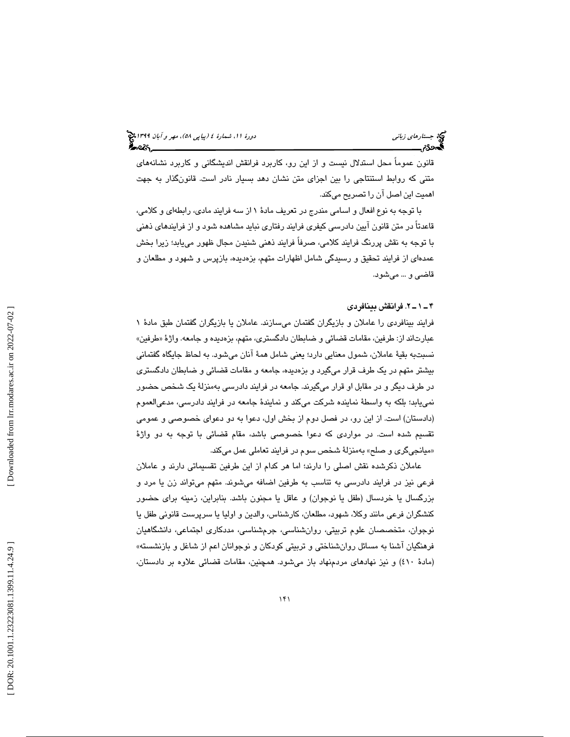قانون عموماً محل استدلال نيست و از اين رو، كاربرد فرانقش انديشگاني و كاربرد نشانههاي متني كه روابط استنتاجي را بين اجزاي متن نشان دهد بسيار نادر است. قانونگذار به جهت اهميت اين اصل آن را تصريح ميكند.

با توجه به نوع افعال و اسامي مندرج در تعريف مادة 1 از سه فرايند مادي، رابطهاي و كلامي، قاعدتاً در متن قانون آيين دادرسي كيفري فرايند رفتاري نبايد مشاهده شود و از فرايندهاي ذهني با توجه به نقش پررنگ فرايند كلامي، صرفاً فرايند ذهني شنيدن مجال ظهور مييابد؛ زيرا بخش عمدهاي از فرايند تحقيق و رسيدگي شامل اظهارات متهم، بزهديده، بازپرس و شهود و مطلعان و قاضي و ... ميشود.

#### 2ـ 1ـ 4 . فرانقش بينافردي

فرايند بينافردي را عاملان و بازيگران گفتمان ميسازند. عاملان يا بازيگران گفتمان طبق مادهٔ ۱ عبارتاند از: طرفين، مقامات قضائي و ضابطان دادگستري، متهم، بزهديده و جامعه. واژهٔ «طرفين» نسبتبه بقيهٔ عاملان، شمول معنايي دارد؛ يعني شامل همهٔ آنان مي شود. به لحاظ جايگاه گفتماني بيشتر متهم در يک طرف قرار ميگيرد و بزهديده، جامعه و مقامات قضائي و ضابطان دادگستري در طرف ديگر و در مقابل او قرار ميگيرند. جامعه در فرايند دادرسي بهمنزلهٔ يک شخص حضور نمييابد؛ بلكه به واسطهٔ نماينده شركت مىكند و نمايندهٔ جامعه در فرايند دادرسى، مدعىالعموم (دادستان) است. از اين رو، در فصل دوم از بخش اول، دعوا به دو دعواي خصوصي و عمومي تقسيم شده است. در مواردی كه دعوا خصوصی باشد، مقام قضائی با توجه به دو واژهٔ «میانجیگری و صلح» بهمنزلهٔ شخص سوم در فرایند تعاملی عمل میکند.

عاملان ذكرشده نقش اصلي را دارند؛ اما هر كدام از اين طرفين تقسيماتي دارند و عاملان فرعي نيز در فرايند دادرسي به تناسب به طرفين اضافه ميشوند. متهم ميتواند زن يا مرد و بزرگسال يا خردسال (طفل يا نوجوان) و عاقل يا مجنون باشد. بنابراين، زمينه براي حضور كنشگران فرعي مانند وكلا، شهود، مطلعان، كارشناس، والدين و اوليا يا سرپرست قانوني طفل يا نوجوان، متخصصان علوم تربيتي، روانشناسي، جرمشناسي، مددكاري اجتماعي، دانشگاهيان فرهنگيان آشنا به مسائل روانشناختي و تربيتي كودكان و نوجوانان اعم از شاغل و بازنشسته» (مادة 410) و نيز نهادهاي مردمنهاد باز ميشود. همچنين، مقامات قضائي علاوه بر دادستان،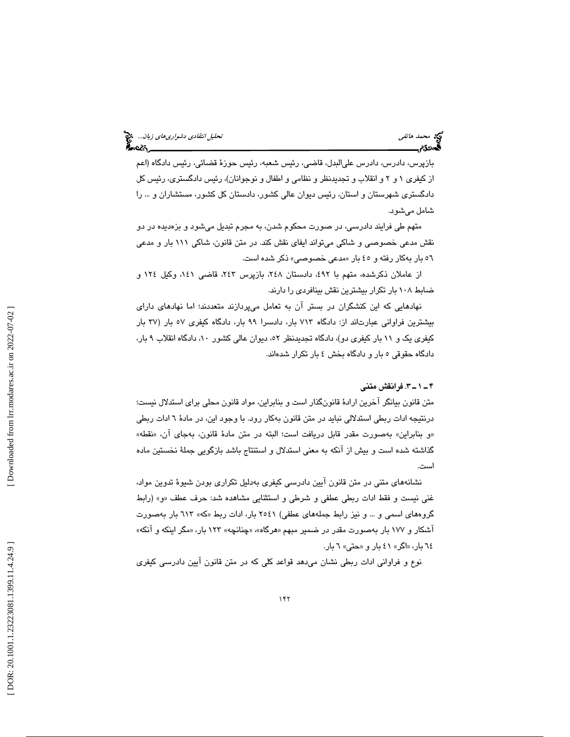بازپرس، دادرس، دادرس عليالبدل، قاضي، رئيس شعبه، رئيس حوزة قضائي، رئيس دادگاه (اعم از كيفري ١ و ٢ و انقلاب و تجديدنظر و نظامي و اطفال و نوجوانان)، رئيس دادگستري، رئيس كل دادگستر ي شهرستان و استان، رئيس ديوان عالي كشور، دادستان كل كشور، مستشاران و ... را شامل ميشود.

متهم طي فرايند دادرسي، در صورت محكوم شدن، به مجرم تبديل ميشود و بزهديده در دو نقش مدعي خصوصي و شاكي ميتواند ايفاي نقش كند. در متن قانون، شاكي 111 بار و مدعي ٥٦ بار بهكار رفته و ٤٥ بار «مدعى خصوصي» ذكر شده است.

از عاملان ذكرشده، متهم با ٤٩٢، دادستان ٢٤٨، بازپرس ٢٤٢، قاضي ١٤١، وكيل ١٢٤ و ضابط 108 بار تكرار بيشترين نقش بينافردي را دارند.

نهادهايي كه اين كنشگران در بستر آن به تعامل ميپردازند متعددند؛ اما نهادهاي داراي بيشترين فراواني عبارتاند از: دادگاه 713 بار، دادسرا 99 بار، دادگاه كيفري ب 57 ار ( 37 بار كيفري يک و ١١ بار كيفري دو)، دادگاه تجديدنظر ٥٢، ديوان عالي كشور ١٠، دادگاه انقلاب ٩ بار، دادگاه حقوقي 5 بار و دادگاه بخش 4 بار تكرار شدهاند.

#### 3ـ 1ـ 4 . فرانقش متني

متن قانون بيانگر آخرين ارادة قانونگذار است و بنابراين، مواد قانون محلي براي استدلال نيست؛ درنتيجه ادات ربطي استدلالي نبايد در متن قانون بهكار رود. با وجود اين، در مادة 6 ادات ربطي «و بنابراين» بهصورت مقدر قابل دريافت است؛ البته در متن مادهٔ قانون، بهجاي آن، «نقطه» گذاشته شده است و بيش از آنكه به معني استدلال و استنتاج باشد بازگويي جملة نخستين ماده است.

نشانههاي متني در متن قانون آيين دادرسي كيفري بهدليل تكراري بودن شيوة تدوين مواد، غني نيست و فقط ادات ربطي عطفي و شرطي و استثنايي مشاهده شد: حرف عطف و« » (رابط گروههاي اسمي و … و نيز رابط جملههاي عطفي) ٢٥٤١ بار، ادات ربط «كه» ٦١٣ بار بهصورت آشكار و ١٧٧ بار بهصورت مقدر در ضمير مبهم «هرگاه»، «چنانچه» ١٢٣ بار، «مگر اينكه و آنكه» ۲٤ بار، «اگر» ٤١ بار و «حتى» ٦ بار.

نوع و فراواني ادات ربطي نشان ميدهد قواعد كلي كه در متن قانون آيين دادرسي كيفري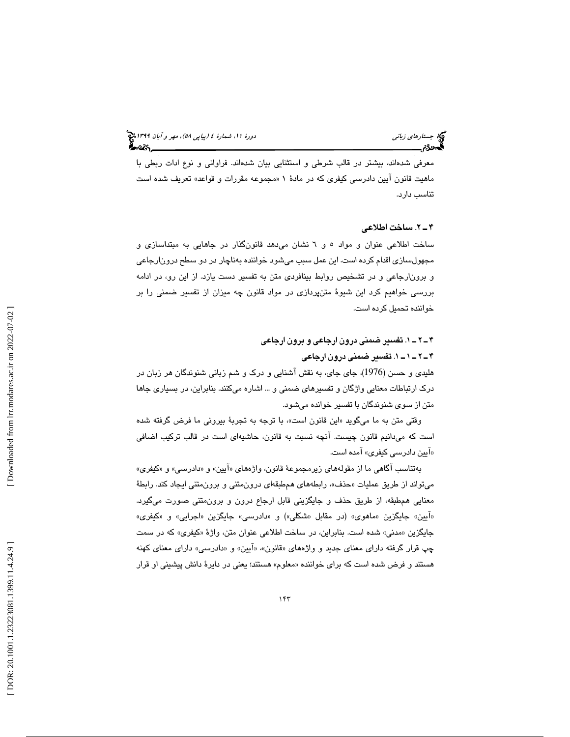معرفي شدهاند، بيشتر در قالب شرطي و استثنايي بيان شدهاند. فراواني و نوع ادات ربطي با ماهيت قانون آيين دادرسي كيفري كه در مادة « 1 مجموعه مقررات و قواعد» تعريف شده است تناسب دارد.

#### 2ـ 4 . ساخت اطلاعي

ساخت اطلاعي عنوان و مواد 5 6و نشان ميدهد قانونگذار در جاهايي به مبتداسازي و مجهولسازي اقدام كرده است. اين عمل سبب ميشود خواننده بهناچار در دو سطح درونارجاعي و برونارجاعي و در تشخيص روابط بينافردي متن به تفسير دست يازد. از اين رو، در ادامه بررسي خواهيم كرد اين شيوة متنپردازي در مواد قانون چه ميزان از تفسير ضمني را بر خواننده تحميل كرده است.

# 1ـ 2ـ 4 . تفسير ضمني درون ارجاعي و برون ارجاعي

## 1ـ 1ـ 2ـ 4 . تفسير ضمني درون ارجاعي

هليدي و حسن (1976)، جاي جاي، به نقش آشنايي و درك و شم زباني شنوندگان هر زبان در درك ارتباطات معنايي واژگان و تفسيرهاي ضمني و ... اشاره ميكنند. بنابراين، در بسياري جاها متن از سوي شنوندگان با تفسير خوانده ميشود.

وقتي متن به ما ميگويد «اين قانون است»، با توجه به تجربهٔ بيروني ما فرض گرفته شده است كه ميدانيم قانون چيست. آنچه نسبت به قانون، حاشيهاي است در قالب تركيب اضافي آيين دادرسي كيفري» آمده است. »

بهتناسب آگاهی ما از مقولههای زیرمجموعهٔ قانون، واژههای «آیین» و «دادرسی» و «کیفری» ميتواند از طريق عمليات «حذف»، رابطههاي همطبقهاي درونمتني و برونمتني ايجاد كند. رابطهٔ معنايي هم طبقه، از طريق حذف و جايگزيني قابل ارجاع درون و برونمتني صورت ميگيرد. «آيين» جايگزين «ماهوي» (در مقابل «شكلي») و «دادرسي» جايگزين «اجرايي» و «كيفري» جايگزين «مدني» شده است. بنابراين، در ساخت اطلاعي عنوان متن، واژهٔ «کيفري» که در سمت چپ قرار گرفته داراي معناي جديد و واژههاي «قانون»، «آيين» و «دادرسي» داراي معناي كهنه هستند و فرض شده است كه براي خواننده «معلوم» هستند؛ يعني در دايرهٔ دانش پيشيني او قرار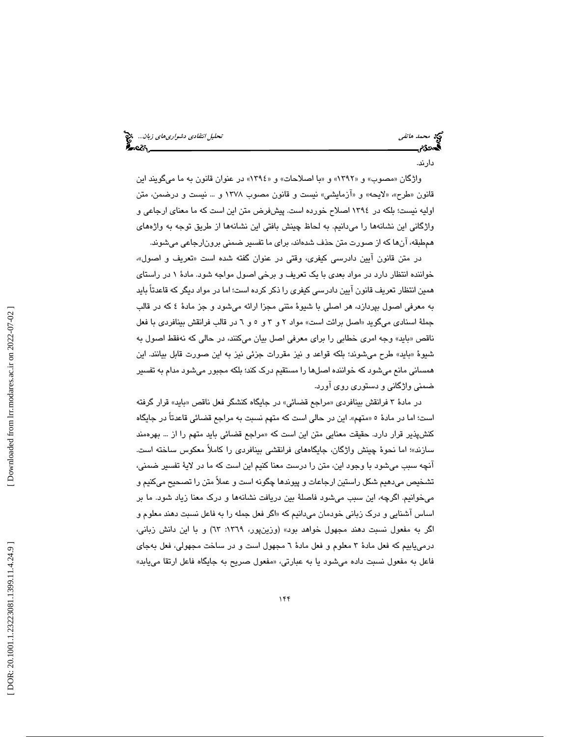دارند.

واژگان «مصوب» و «١٣٩٢» و «با اصلاحات» و «١٣٩٤» در عنوان قانون به ما ميگويند اين قانون «طرح»، «لايحه» و «آزمايشمي» نيست و قانون مصوب ١٣٧٨ و … نيست و درضمن، متن اوليه نيست؛ بلكه در 1394 اصلاح خورده است. پيشفرض متن اين است كه ما معناي ارجاعي و واژگاني اين نشانهها را ميدانيم. به لحاظ چينش بافتي اين نشانهها از طريق توجه به واژههاي همطبقه، آنها كه از صورت متن حذف شدهاند، براي ما تفسير ضمني برونارجاعي ميشوند.

در متن قانون آيين دادرسي كيفري، وقتي در عنوان گفته شده است «تعريف و اصول». خواننده انتظار دارد در مواد بعدي با يك تعريف و برخي اصول مواجه شود. مادة 1 در راستاي همين انتظار تعريف قانون آيين دادرسي كيفري را ذكر كرده است؛ اما در مواد ديگر كه قاعدتاً بايد به معرفي اصول بپردازد، هر اصلي با شيوة متني مجزا ارائه ميشود و جز مادة 4 كه در قالب جملهٔ اسنادی میگوید «اصل برائت است» مواد ۲ و ۳ و ٥ و ٦ در قالب فرانقش بینافردی با فعل بايد» وجه امري خطابي را براي معرفي اصل بيان ميكنند، در حالي كه نهفقط اصول به ناقص « بايد» طرح ميشوند؛ بلكه قواعد و نيز مقررات جزئي نيز به اين صورت قابل بيانند. اين شيوة « همساني مانع ميشود كه خواننده اصلها را مستقيم درك كند؛ بلكه مجبور ميشود مدام به تفسير ضمني واژگاني و دستوري روي آورد.

در مادهٔ ۳ فرانقش بینافردی «مراجع قضائی» در جایگاه کنشگر فعل ناقص «باید» قرار گرفته است؛ اما در مادهٔ ٥ «متهم». اين در حالي است كه متهم نسبت به مراجع قضائي قاعدتاً در جايگاه كنشپذير قرار دارد. حقيقت معنايي متن اين است كه «مراجع قضائي بايد متهم را از … بهرهمند ؛ اما نحوة چينش واژگان، جايگاههاي فرانقشي بينافردي را كاملاً معكوس ساخته است. سازند» آنچه سبب ميشود با وجود اين، متن را درست معنا كنيم اين است كه ما در لاية تفسير ضمني، تشخيص ميدهيم شكل راستين ارجاعات و پيوندها چگونه است و عملاً متن را تصحيح ميكنيم و ميخوانيم. اگرچه، اين سبب ميشود فاصلة بين دريافت نشانهها و درك معنا زياد شود. ما بر اساس آشنايي و درک زباني خودمان ميدانيم که «اگر فعل جمله را به فاعل نسبت دهند معلوم و اگر به مفعول نسبت دهند مجهول خواهد بود» (وزينپور، ١٣٦٩: ٦٣) و با اين دانش زباني، درمييابيم كه فعل مادة 3 معلوم و فعل مادة 6 مجهول است و در ساخت مجهولي، فعل بهجاي فاعل به مفعول نسبت داده ميشود يا به عبارتي، «مفعول صريح به جايگاه فاعل ارتقا مييابد»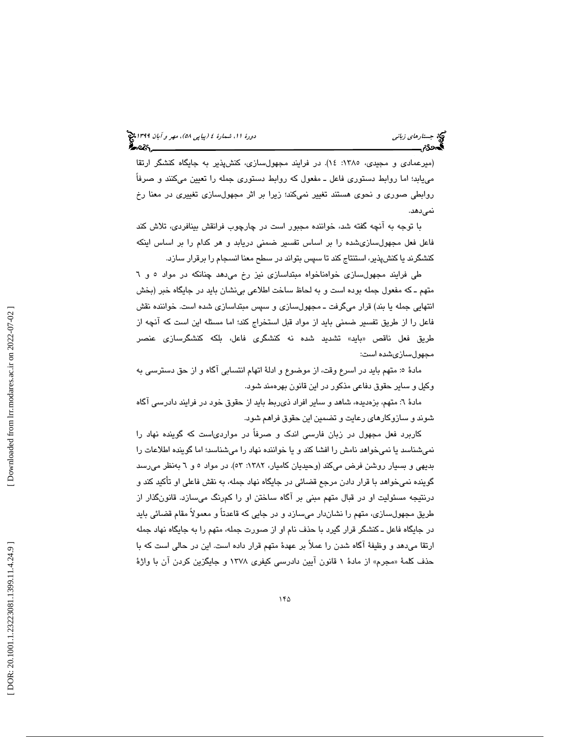(میرعمادی و مجیدی، ۱۳۸٥: ۱۶). در فرایند مجهولسازی، كنشپذیر به جایگاه كنشگر ارتقا مييابد؛ اما روابط دستوري فاعل ـ مفعول كه روابط دستوري جمله را تعيين ميكنند و صرفاً روابطي صوري و نحوي هستند تغيير نمي كند؛ زيرا بر اثر مجهولسازي تغييري در معنا رخ نمي دهد.

با توجه به آنچه گفته شد، خواننده مجبور است در چارچوب فرانقش بينافردي، تلاش كند فاعل فعل مجهولسازيشده را بر اساس تفسير ضمني دريابد و هر كدام را بر اساس اينكه كنشگرند يا كنشپذير، استنتاج كند تا سپس بتواند در سطح معنا انسجام را برقرار سازد.

طي فرايند مجهولسازي خواهناخواه مبتداسازي نيز رخ ميدهد چنانكه در مواد 5 6و متهم ـ كه مفعول جمله بوده است و به لحاظ ساخت اطلاعي بينشان بايد در جايگاه خبر (بخش انتهايي جمله يا بند) قرار ميگرفت ـ مجهولسازي و سپس مبتداسازي شده است. خواننده نقش فاعل را از طريق تفسير ضمني بايد از مواد قبل استخراج كند؛ اما مسئله اين است كه آنچه از طريق فعل ناقص «بايد» تشديد شده نه كنشگری فاعل، بلكه كنشگرسازی عنصر مجهولسازيشده است:

مادهٔ ٥: متهم بايد در اسرع وقت، از موضوع و ادلهٔ اتهام انتسابي آگاه و از حق دسترسي به وكيل و ساير حقوق دفاعي مذكور در اين قانون بهره مند شود .

مادة 6: متهم، بزهديده، شاهد و ساير افراد ذيربط بايد از حقوق خود در فرايند دادرسي آگاه شوند و سازوكارهاي رعايت و تضمين اين حقوق فراهم شود .

كاربرد فعل مجهول در زبان فارسي اندك و صرفاً در مواردياست كه گوينده نهاد را نميشناسد يا نميخواهد نامش را افشا كند و يا خواننده نهاد را ميشناسد؛ اما گوينده اطلاعات را بديهي و بسيار روشن فرض ميكند (وحيديان كاميار، :1382 53). در مواد به 6و 5 نظر ميرسد گوينده نميخواهد با قرار دادن مرجع قضائي در جايگاه نهاد جمله، به نقش فاعلي او تأكيد كند و درنتيجه مسئوليت او در قبال متهم مبني بر آگاه ساختن او را كمرنگ ميسازد. قانونگذار از طريق مجهول،سازي، متهم را نشاندار ميسازد و در جايي كه قاعدتاً و معمولاً مقام قضائي بايد در جايگاه فاعل ـ كنشگر قرار گيرد با حذف نام او از صورت جمله، متهم را به جايگاه نهاد جمله ارتقا ميدهد و وظيفة آگاه شدن را عملاً بر عهدة متهم قرار داده است. اين در حالي است كه با حذف كلمهٔ «مجرم» از مادهٔ ۱ قانون آيين دادرسي كيفري ۱۳۷۸ و جايگزين كردن آن با واژهٔ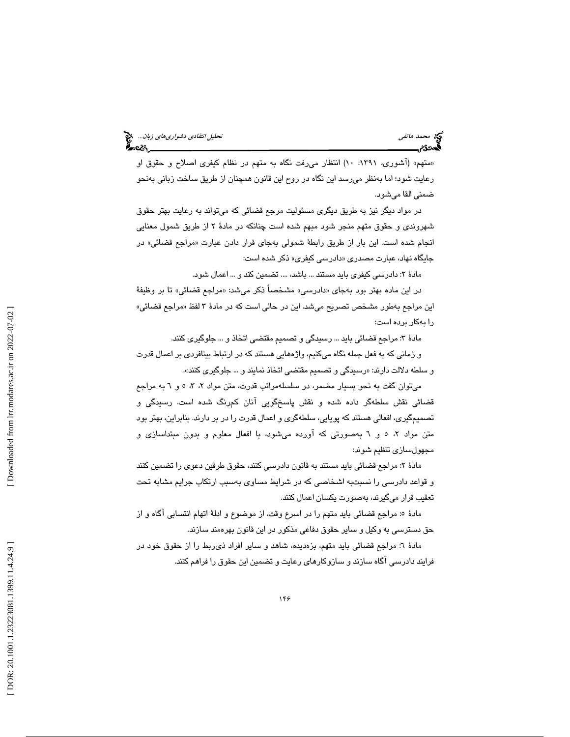«متهم» (آشوری، ۱۳۹۱: ۱۰) انتظار میرفت نگاه به متهم در نظام كيفری اصلاح و حقوق او رعايت شود؛ اما بهنظر ميرسد اين نگاه در روح اين قانون همچنان از طريق ساخت زباني بهنحو ضمني القا ميشود.

در مواد ديگر نيز به طريق ديگري مسئوليت مرجع قضائي كه ميتواند به رعايت بهتر حقوق شهروندي و حقوق متهم منجر شود مبهم شده است چنانكه در مادة 2 از طريق شمول معنايي انجام شده است. اين بار از طريق رابطة شمولي بهجاي قرار دادن عبارت «مراجع قضائي» در جایگاه نهاد، عبارت مصدری «دادرسی کیفری» ذکر شده است:

مادة 2: دادرسي كيفري بايد مستند ... باشد، .... تضمين كند و ... اعمال شود .

در اين ماده بهتر بود بهجاي «دادرسي» مشخصاً ذكر ميشد: «مراجع قضائي» تا بر وظيفة اين مراجع بهطور مشخص تصريح ميشد. اين در حالي است كه در مادهٔ ۳ لفظ «مراجع قضائي» را بهكار برده است:

مادهٔ ۳: مراجع قضائی باید ... رسیدگی و تصمیم مقتضی اتخاذ و ... جلوگیری كنند.

و زماني كه به فعل جمله نگاه ميكنيم، واژههايي هستند كه در ارتباط بينافردي بر اعمال قدرت و سلطه دلالت دارند: «رسیدگی و تصمیم مقتضی اتخاذ نمایند و … جلوگیری كنند».

 ميتوان گفت به نحو بسيار مضمر، در سلسلهمراتب قدرت، متن مواد ،5 ،3 2 6و به مراجع قضائي نقش سلطهگر داده شده و نقش پاسخگويي آنان كمرنگ شده است. رسيدگي و تصميمگيري، افعالي هستند كه پويايي، سلطهگري و اعمال قدرت را در بر دارند. بنابراين، بهتر بود متن مواد ۲، ٥ و ٦ بهصورتي كه آورده ميشود، با افعال معلوم و بدون مبتداسازي و مجهولسازي تنظيم شوند:

مادهٔ ۲: مراجع قضائي بايد مستند به قانون دادرسي كنند، حقوق طرفين دعوى را تضمين كنند و قواعد دادرسی را نسبتبه اشخاصی كه در شرایط مساوی بهسبب ارتكاب جرایم مشابه تحت تعقيب قرار ميگيرند، بهصورت يكسان اعمال كنند.

مادهٔ ٥: مراجع قضائي بايد متهم را در اسرع وقت، از موضوع و ادلهٔ اتهام انتسابي آگاه و از حق دسترسي به وكيل و ساير حقوق دفاعي مذكور در اين قانون بهره مند سازند.

مادة 6: مراجع قضائي بايد متهم، بزهديده، شاهد و ساير افراد ذيربط را از حقوق خود در فرايند دادرسي آگاه سازند و سازوكارهاي رعايت و تضمين اين حقوق را فراهم كنند.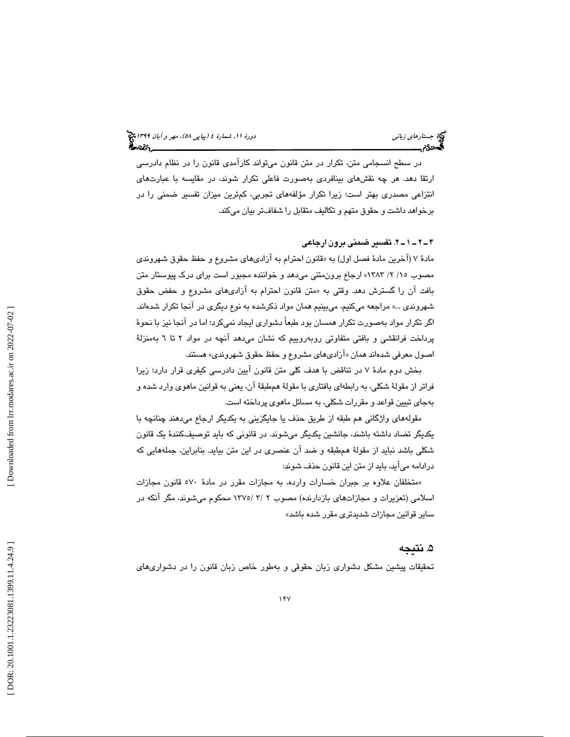در سطح انسجامي متن، تكرار در متن قانون ميتواند كارآمدي قانون را در نظام دادرسي ارتقا دهد. هر چه نقشهاي بينافردي بهصورت فاعلي تكرار شوند، در مقايسه با عبارتهاي انتزاعي مصدري بهتر است؛ زيرا تكرار مؤلفههاي تجربي، كمترين ميزان تفسير ضمني را در برخواهد داشت و حقوق متهم و تكاليف متقابل را شفافتر بيان ميكند.

### 2ـ 1ـ 2ـ 4 . تفسير ضمني برون ارجاعي

مادهٔ ۷ (آخرین مادهٔ فصل اول) به «قانون احترام به آزادیهای مشروع و حفظ حقوق شهروندی مصوب /2 15 / 1383» ارجاع برونمتني ميدهد و خواننده مجبور است براي درك پيوستار متن بافت آن را گسترش دهد. وقتي به «متن قانون احترام به آزاديهاي مشروع و حفض حقوق شهروندي ...» مراجعه ميكنيم، ميبينيم همان مواد ذكرشده به نوع ديگري در آنجا تكرار شدهاند. اگر تكرار مواد بهصورت تكرار همسان بود طبعاً دشواري ايجاد نميكرد؛ اما در آنجا نيز با نحوة پرداخت فرانقشي و بافتي متفاوتي روبهروييم كه نشان ميدهد آنچه در مواد ٢ تا ٦ بهمنزلة اصول معرفي شدهاند همان « آزاديهاي مشروع و حفظ حقوق شهروندي» هستند.

بخش دوم مادة 7 در تناقض با هدف كلي متن قانون آيين دادرسي كيفري قرار دارد؛ زيرا فراتر از مقولة شكلي، به رابطهاي بافتاري با مقولة همطبقة آن، يعني به قوانين ماهوي وارد شده و بهجاي تبيين قواعد و مقررات شكلي، به مسائل ماهوي پرداخته است.

مقولههاي واژگاني هم طبقه از طريق حذف يا جايگزيني به يكديگر ارجاع ميدهند چنانچه با يكديگر تضاد داشته باشند، جانشين يكديگر ميشوند. در قانوني كه بايد توصيفكنندة يك قانون شكلي باشد نبايد از مقولة ه مطبقه و ضد آن عنصري در اين متن بيايد. بنابراين، جملههايي كه درادامه ميآيد، بايد از متن اين قانون حذف شوند:

متخلفان علاوه بر جبران خسارات وارده، به مجازات مقرر در مادة 570 قانون مجازات » اسلامي (تعزيرات و مجازاتهاي بازدارنده) مصوب ٢ /٣ /١٣٧٥ محكوم مي شوند، مگر آنكه در ساير قوانين مجازات شديدتري مقرر شده باشد »

## . نتيجه 5

تحقيقات پيشين مشكل دشواري زبان حقوقي و بهطور خاص زبان قانون را در دشواريهاي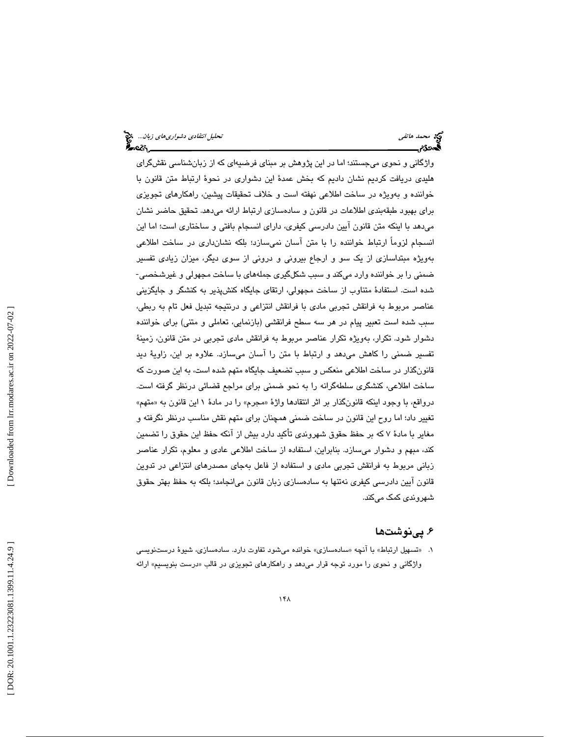واژگاني و نحوي ميجستند؛ اما در اين پژوهش بر مبناي فرضيهاي كه از زبانشناسي نقشگراي هليدي دريافت كرديم نشان داديم كه بخش عمدة اين دشواري در نحوة ارتباط متن قانون با خواننده و بهويژه در ساخت اطلاعي نهفته است و خلاف تحقيقات پيشين، راهكارهاي تجويزي براي بهبود طبقهبندي اطلاعات در قانون و سادهسازي ارتباط ارائه ميدهد. تحقيق حاضر نشان ميدهد با اينكه متن قانون آيين دادرسي كيفري، داراي انسجام بافتي و ساختاري است؛ اما اين انسجام لزوماً ارتباط خواننده را با متن آسان نميسازد؛ بلكه نشانداري در ساخت اطلاعي بهويژه مبتداسازي از يك سو و ارجاع بيروني و دروني از سوي ديگر، ميزان زيادي تفسير ضمني را بر خواننده وارد ميكند و سبب شكلگيري جملههاي با ساخت مجهولي و غيرشخصي- شده است. استفادة متناوب از ساخت مجهولي، ارتقاي جايگاه كنشپذير به كنشگر و جايگزيني عناصر مربوط به فرانقش تجربي مادي با فرانقش انتزاعي و درنتيجه تبديل فعل تام به ربطي، سبب شده است تعبير پيام در هر سه سطح فرانقشي (بازنمايي، تعاملي و متني) براي خواننده دشوار شود. تكرار، بهويژه تكرار عناصر مربوط به فرانقش مادي تجربي در متن قانون، زمينة تفسير ضمني را كاهش ميدهد و ارتباط با متن را آسان ميسازد. علاوه بر اين، زاوية ديد قانونگذار در ساخت اطلاعي منعكس و سبب تضعيف جايگاه متهم شده است، به اين صورت كه ساخت اطلاعي، كنشگري سلطهگرانه را به نحو ضمني براي مراجع قضائي درنظر گرفته است. درواقع، با وجود اینکه قانونگذار بر اثر انتقادها واژهٔ «مجرم» را در مادهٔ ۱ این قانون به «متهم» تغيير داد؛ اما روح اين قانون در ساخت ضمني همچنان براي متهم نقش مناسب درنظر نگرفته و مغاير با مادة 7 كه بر حفظ حقوق شهروندي تأكيد دارد بيش از آنكه حفظ اين حقوق را تضمين كند، مبهم و دشوار ميسازد. بنابراين، استفاده از ساخت اطلاعي عادي و معلوم، تكرار عناصر زباني مربوط به فرانقش تجربي مادي و استفاده از فاعل به جاي مصدرهاي انتزاعي در تدوين قانون آيين دادرسي كيفري نهتنها به سادهسازي زبان قانون ميانجامد؛ بلكه به حفظ بهتر حقوق شهروندي كمك ميكند.

## ۶. پینوشتها

۱. «تسهیل ارتباط» با آنچه «سادهسازی» خوانده میشود تفاوت دارد. سادهسازی، شیوهٔ درستنویسی واژگانی و نحوی را مورد توجه قرار میدهد و راهکارهای تجویزی در قالب «درست بنویسیم» ارائه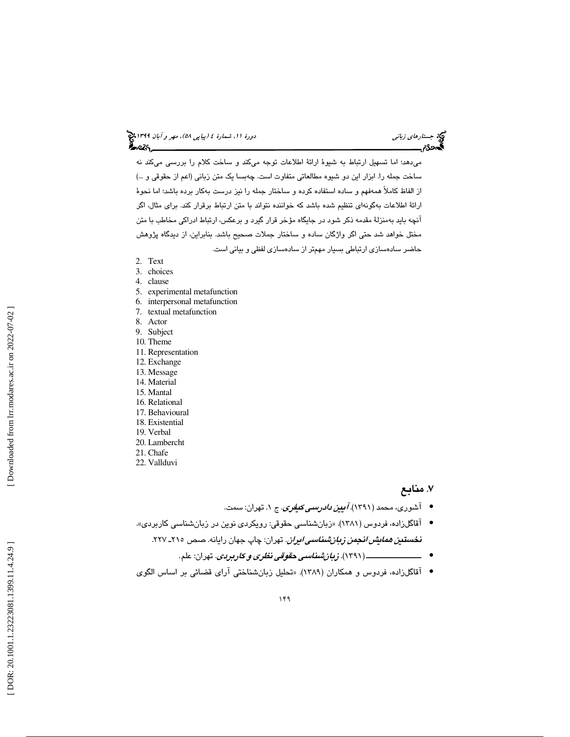ميدهد؛ اما تسهيل ارتباط به شيوة ارائة اطلاعات توجه ميكند و ساخت كلام را بررسي ميكند نه ساخت جمله را. ابزار اين دو شيوه مطالعاتي متفاوت است. چهبسا يك متن زباني (اعم از حقوقي و ...) از الفاظ كاملاً همهفهم و ساده استفاده كرده و ساختار جمله را نيز درست بهكار برده باشد؛ اما نحوة ارائة اطلاعات بهگونهاي تنظيم شده باشد كه خواننده نتواند با متن ارتباط برقرار كند. براي مثال، اگر آنچه بايد بهمنزلة مقدمه ذكر شود در جايگاه مؤخر قرار گيرد و برعكس، ارتباط ادراكي مخاطب با متن مختل خواهد شد حتي اگر واژگان ساده و ساختار جملات صحيح باشد. بنابراين، از ديدگاه پژوهش حاضر سادهسازي ارتباطي بسيار مهمتر از سادهسازي لفظي و بياني است.

- 2. Text
- 3. choices
- 4. clause
- 5. experimental metafunction
- 6. interpersonal metafunction
- 7. textual metafunction
- 8. Actor
- 9. Subject
- 10. Theme
- 11. Representation
- 12. Exchange
- 13. Message
- 14. Material 15. Mantal
- 16. Relational
- 17. Behavioural
- 18. Existential
- 19. Verbal
- 20. Lambercht
- 21. Chafe
- 22. Vallduvi

## . منابع 7

- آشوری، محمد (۱۳۹۱).*آیین دادرسی کنفری.* **ج ۱. ت**هران: سمت.
- آقاگلزاده، فردوس (۱۳۸۱). «زبانشناسی حقوقی: رویکردی نوین در زبانشناسی کاربردی». <mark>نخ*ستتن همایش انجمن زبان شناسی ایران</mark>.* تهران: چاپ جهان رایانه. صص ۲۱۵ـ ۲۲۷.</mark>
	- . تهران: علم. ـــــــــــــــــــــ ( 1391). زبانشناس ي حقوق ي نظر و ي كاربردي •
- آقاگلزاده، فردوس و همكاران (۱۳۸۹). «تحليل زبانشناختي آراي قضائي بر اساس الگوي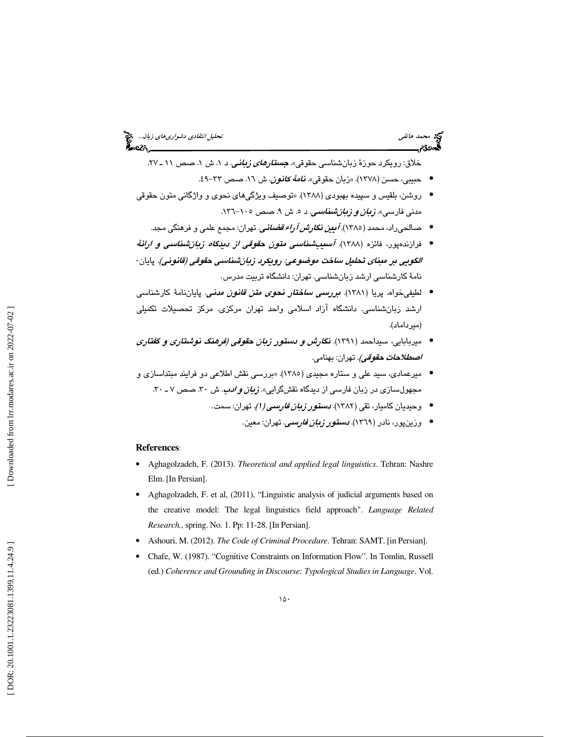خلاق: رویکرد حوزهٔ زبانشناسی حقوقی» *جستار<i>های زبانی.* **د ۱. ش ۱. ص**ص ۱۱ ـ ۲۷.

- حبيبي، حسن (١٣٧٨). «زبان حقوقي». *نامهٔ كانون*. ش ١٦. صص ٣٣-٩؛.
- روشن، بلقيس و سپيده بهبودي (١٣٨٨). «توصيف ويژگيهاي نحوي و واژگاني متون حقوقي مدنی فارسی». *زبان و زبانشناسی*. د ۰. ش ۹. صص ۱۰۰-۱۳۲.
	- صالحۍراد، محمد (١٣٨٥). *آ بين نگارش آراء قضائي.* تهران: مجمع علمي و فرهنگي مجد.
- فرازندهپور، فائزه (۱۳۸۸). *آسىپېشناسىي متون حقوقى از دىيىگا<i>ە زبانشناسىي و ارائ***ەُ** الگويي بر مبناي تحليل ساخت موضوعي: رويكرد زبانشناسي حقوقي (قانوني). پايان-نامهٔ كارشناسی ارشد زبانشناسی. تهران: دانشگاه تربیت مدرس.
- لطيفي خواه، پريا (١٣٨١). *مبررسمى ساختار نحوى مقن قانون مدنى.* پايان**نامهٔ كارشناس**ى ارشد زبانشناسی. دانشگاه آزاد اسلامی واحد تهران مرکزی. مرکز تحصیلات تکمیلی (ميرداماد).
- ميربابايي، سيداحمد (١٣٩١). ن*گارش و دستور زبان حقوقي (فرهنگ نوشتاري و گفتاري اصطلاحات حقوقي).* تهران: بهنامي.
- ميرعمادي، سيد علي و ستاره مجيدي (١٣٨٥). «بررسي نقش اطلاعي دو فرايند مبتداسازي و مجهول سازی در زبان فارسی از دیدگاه نقشگرایی». *زبان <i>و ادب***.** ش ۳۰ ـ مص ۷ ـ ۳۰.
	- وحیدیان کامیار، تقی (۱۳۸۲). *دستور زبان فارسمی (۱).* تهران: سمت.
		- وزین،پور، نادر (۱۳٦۹). *دستور <mark>زبان فار</mark>سی*. تهران: معین.

#### **References**:

- Aghagolzadeh, F. (2013). *Theoretical and applied legal linguistics*. Tehran: Nashre Elm. [In Persian].
- Aghagolzadeh, F. et al, (2011), "Linguistic analysis of judicial arguments based on the creative model: The legal linguistics field approach". *Language Related Research.*, spring. No. 1. Pp: 11-28. [In Persian].
- Ashouri, M. (2012). *The Code of Criminal Procedure*. Tehran: SAMT. [in Persian].
- Chafe, W. (1987). "Cognitive Constraints on Information Flow". In Tomlin, Russell (ed.) *Coherence and Grounding in Discourse: Typological Studies in Language*. Vol.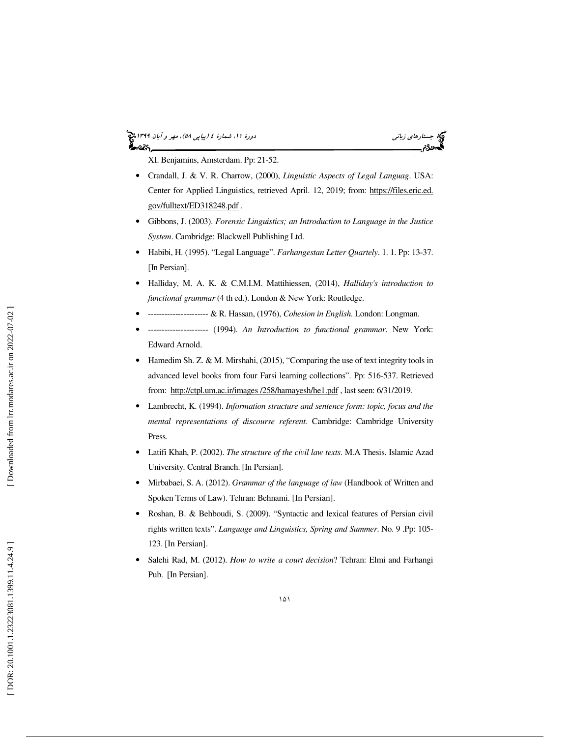# (پياپي 58)، مهر و آبان 1399 جستارهاي زباني دورة ،11 شمارة 4



XI. Benjamins, Amsterdam. Pp: 21-52.

- Crandall, J. & V. R. Charrow, (2000), *Linguistic Aspects of Legal Languag*. USA: Center for Applied Linguistics, retrieved April. 12, 2019; from: https://files.eric.ed. gov/fulltext/ED318248.pdf .
- Gibbons, J. (2003). *Forensic Linguistics; an Introduction to Language in the Justice System*. Cambridge: Blackwell Publishing Ltd.
- Habibi, H. (1995). "Legal Language". *Farhangestan Letter Quartely*. 1. 1. Pp: 13-37. [In Persian].
- Halliday, M. A. K. & C.M.I.M. Mattihiessen, (2014), *Halliday's introduction to functional grammar* (4 th ed.). London & New York: Routledge.
- ---------------------- & R. Hassan, (1976), *Cohesion in English*. London: Longman.
- ---------------------- (1994). *An Introduction to functional grammar*. New York: Edward Arnold.
- Hamedim Sh. Z. & M. Mirshahi, (2015), "Comparing the use of text integrity tools in advanced level books from four Farsi learning collections". Pp: 516-537. Retrieved from: http://ctpl.um.ac.ir/images /258/hamayesh/he1.pdf , last seen: 6/31/2019.
- Lambrecht, K. (1994). *Information structure and sentence form: topic, focus and the mental representations of discourse referent.* Cambridge: Cambridge University Press.
- Latifi Khah, P. (2002). *The structure of the civil law texts*. M.A Thesis. Islamic Azad University. Central Branch. [In Persian].
- Mirbabaei, S. A. (2012). *Grammar of the language of law* (Handbook of Written and Spoken Terms of Law). Tehran: Behnami. [In Persian].
- Roshan, B. & Behboudi, S. (2009). "Syntactic and lexical features of Persian civil rights written texts". *Language and Linguistics, Spring and Summer*. No. 9 .Pp: 105- 123. [In Persian].
- Salehi Rad, M. (2012). *How to write a court decision*? Tehran: Elmi and Farhangi Pub. [In Persian].